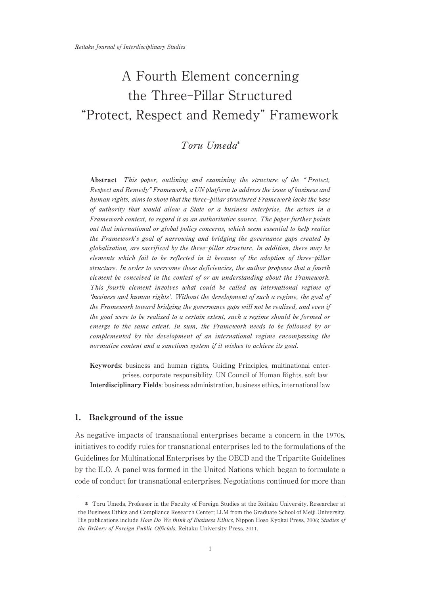# A Fourth Element concerning the Three-Pillar Structured "Protect, Respect and Remedy" Framework

## Toru Umeda\*

Abstract This paper, outlining and examining the structure of the "Protect, Respect and Remedy" Framework, a UN platform to address the issue of business and human rights, aims to show that the three-pillar structured Framework lacks the base of authority that would allow a State or a business enterprise, the actors in a Framework context, to regard it as an authoritative source. The paper further points out that international or global policy concerns, which seem essential to help realize the Framework's goal of narrowing and bridging the governance gaps created by globalization, are sacrificed by the three-pillar structure. In addition, there may be elements which fail to be reflected in it because of the adoption of three-pillar structure. In order to overcome these deficiencies, the author proposes that a fourth element be conceived in the context of or an understanding about the Framework. This fourth element involves what could be called an international regime of 'business and human rights'. Without the development of such a regime, the goal of the Framework toward bridging the governance gaps will not be realized, and even if the goal were to be realized to a certain extent, such a regime should be formed or emerge to the same extent. In sum, the Framework needs to be followed by or complemented by the development of an international regime encompassing the normative content and a sanctions system if it wishes to achieve its goal.

Keywords: business and human rights, Guiding Principles, multinational enterprises, corporate responsibility, UN Council of Human Rights, soft law Interdisciplinary Fields: business administration, business ethics, international law

## 1. Background of the issue

As negative impacts of transnational enterprises became a concern in the 1970s, initiatives to codify rules for transnational enterprises led to the formulations of the Guidelines for Multinational Enterprises by the OECD and the Tripartite Guidelines by the ILO. A panel was formed in the United Nations which began to formulate a code of conduct for transnational enterprises. Negotiations continued for more than

<sup>\*</sup> Toru Umeda, Professor in the Faculty of Foreign Studies at the Reitaku University, Researcher at the Business Ethics and Compliance Research Center; LLM from the Graduate School of Meiji University. His publications include How Do We think of Business Ethics, Nippon Hoso Kyokai Press, 2006; Studies of the Bribery of Foreign Public Officials, Reitaku University Press, 2011.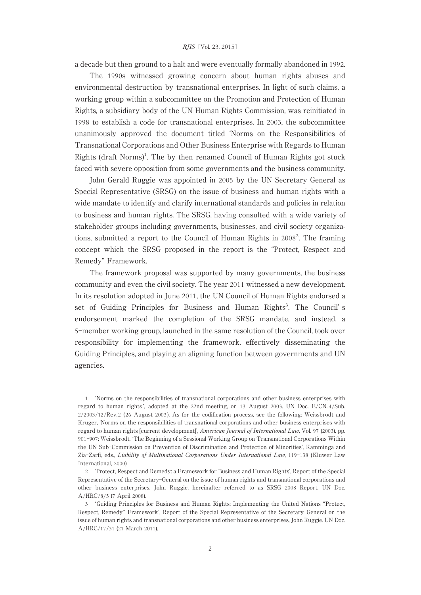a decade but then ground to a halt and were eventually formally abandoned in 1992.

The 1990s witnessed growing concern about human rights abuses and environmental destruction by transnational enterprises. In light of such claims, a working group within a subcommittee on the Promotion and Protection of Human Rights, a subsidiary body of the UN Human Rights Commission, was reinitiated in 1998 to establish a code for transnational enterprises. In 2003, the subcommittee unanimously approved the document titled ʻNorms on the Responsibilities of Transnational Corporations and Other Business Enterprise with Regards to Human Rights (draft Norms)<sup>1</sup>. The by then renamed Council of Human Rights got stuck faced with severe opposition from some governments and the business community.

John Gerald Ruggie was appointed in 2005 by the UN Secretary General as Special Representative (SRSG) on the issue of business and human rights with a wide mandate to identify and clarify international standards and policies in relation to business and human rights. The SRSG, having consulted with a wide variety of stakeholder groups including governments, businesses, and civil society organizations, submitted a report to the Council of Human Rights in 2008<sup>2</sup>. The framing concept which the SRSG proposed in the report is the "Protect, Respect and Remedy" Framework.

The framework proposal was supported by many governments, the business community and even the civil society. The year 2011 witnessed a new development. In its resolution adopted in June 2011, the UN Council of Human Rights endorsed a set of Guiding Principles for Business and Human Rights<sup>3</sup>. The Council's endorsement marked the completion of the SRSG mandate, and instead, a 5-member working group, launched in the same resolution of the Council, took over responsibility for implementing the framework, effectively disseminating the Guiding Principles, and playing an aligning function between governments and UN agencies.

<sup>1</sup> ʻNorms on the responsibilities of transnational corporations and other business enterprises with regard to human rights ', adopted at the 22nd meeting, on 13 August 2003. UN Doc. E/CN. 4/Sub.  $2/2003/12$ /Rev.2 (26 August 2003). As for the codification process, see the following: Weissbrodt and Kruger, ʻNorms on the responsibilities of transnational corporations and other business enterprises with regard to human rights [current development]', American Journal of International Law, Vol. 97 (2003), pp. 901-907; Weissbrodt, ʻThe Beginning of a Sessional Working Group on Transnational Corporations Within the UN Sub-Commission on Prevention of Discrimination and Protection of Minorities', Kamminga and Zia-Zarfi, eds., Liability of Multinational Corporations Under International Law, 119-138 (Kluwer Law International, 2000)

<sup>2</sup> ʻProtect, Respect and Remedy:a Framework for Business and Human Rights', Report of the Special Representative of the Secretary-General on the issue of human rights and transnational corporations and other business enterprises, John Ruggie, hereinafter referred to as SRSG 2008 Report. UN Doc. A/HRC/8/5 (7 April 2008).

<sup>3</sup> ʻGuiding Principles for Business and Human Rights:Implementing the United Nations "Protect, Respect, Remedy" Framework', Report of the Special Representative of the Secretary-General on the issue of human rights and transnational corporations and other business enterprises, John Ruggie. UN Doc. A/HRC/17/31 (21 March 2011).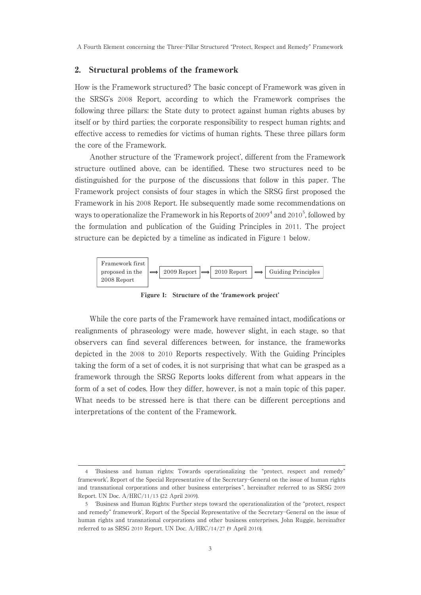A Fourth Element concerning the Three-Pillar Structured "Protect, Respect and Remedy" Framework

## 2. Structural problems of the framework

How is the Framework structured? The basic concept of Framework was given in the SRSG's 2008 Report, according to which the Framework comprises the following three pillars: the State duty to protect against human rights abuses by itself or by third parties; the corporate responsibility to respect human rights; and effective access to remedies for victims of human rights. These three pillars form the core of the Framework.

Another structure of the ʻFramework project', different from the Framework structure outlined above, can be identified. These two structures need to be distinguished for the purpose of the discussions that follow in this paper. The Framework project consists of four stages in which the SRSG first proposed the Framework in his 2008 Report. He subsequently made some recommendations on ways to operationalize the Framework in his Reports of 2009<sup>4</sup> and 2010<sup>5</sup>, followed by the formulation and publication of the Guiding Principles in 2011. The project structure can be depicted by a timeline as indicated in Figure 1 below.



Figure 1: Structure of the 'framework project'

While the core parts of the Framework have remained intact, modifications or realignments of phraseology were made, however slight, in each stage, so that observers can find several differences between, for instance, the frameworks depicted in the 2008 to 2010 Reports respectively. With the Guiding Principles taking the form of a set of codes, it is not surprising that what can be grasped as a framework through the SRSG Reports looks different from what appears in the form of a set of codes. How they differ, however, is not a main topic of this paper. What needs to be stressed here is that there can be different perceptions and interpretations of the content of the Framework.

<sup>4</sup> ʻBusiness and human rights:Towards operationalizing the "protect, respect and remedy" framework', Report of the Special Representative of the Secretary-General on the issue of human rights and transnational corporations and other business enterprises ", hereinafter referred to as SRSG 2009 Report. UN Doc. A/HRC/11/13 (22 April 2009).

<sup>5</sup> ʻBusiness and Human Rights:Further steps toward the operationalization of the "protect, respect and remedy" framework', Report of the Special Representative of the Secretary-General on the issue of human rights and transnational corporations and other business enterprises, John Ruggie, hereinafter referred to as SRSG 2010 Report. UN Doc. A/HRC/14/27 (9 April 2010).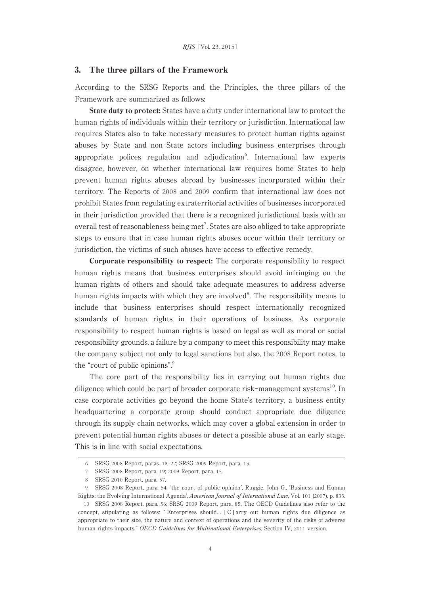### 3. The three pillars of the Framework

According to the SRSG Reports and the Principles, the three pillars of the Framework are summarized as follows:

State duty to protect: States have a duty under international law to protect the human rights of individuals within their territory or jurisdiction. International law requires States also to take necessary measures to protect human rights against abuses by State and non-State actors including business enterprises through appropriate polices regulation and adjudication<sup>6</sup>. International law experts disagree, however, on whether international law requires home States to help prevent human rights abuses abroad by businesses incorporated within their territory. The Reports of 2008 and 2009 confirm that international law does not prohibit States from regulating extraterritorial activities of businesses incorporated in their jurisdiction provided that there is a recognized jurisdictional basis with an overall test of reasonableness being met<sup>7</sup>. States are also obliged to take appropriate steps to ensure that in case human rights abuses occur within their territory or jurisdiction, the victims of such abuses have access to effective remedy.

Corporate responsibility to respect: The corporate responsibility to respect human rights means that business enterprises should avoid infringing on the human rights of others and should take adequate measures to address adverse human rights impacts with which they are involved<sup>8</sup>. The responsibility means to include that business enterprises should respect internationally recognized standards of human rights in their operations of business. As corporate responsibility to respect human rights is based on legal as well as moral or social responsibility grounds, a failure by a company to meet this responsibility may make the company subject not only to legal sanctions but also, the 2008 Report notes, to the "court of public opinions".<sup>9</sup>

The core part of the responsibility lies in carrying out human rights due diligence which could be part of broader corporate risk-management systems<sup>10</sup>. In case corporate activities go beyond the home State's territory, a business entity headquartering a corporate group should conduct appropriate due diligence through its supply chain networks, which may cover a global extension in order to prevent potential human rights abuses or detect a possible abuse at an early stage. This is in line with social expectations.

<sup>6</sup> SRSG 2008 Report, paras. 18-22; SRSG 2009 Report, para. 13.

<sup>7</sup> SRSG 2008 Report, para. 19; 2009 Report, para. 15.

<sup>8</sup> SRSG 2010 Report, para. 57.

<sup>9</sup> SRSG 2008 Report, para. 54; ʻthe court of public opinion', Ruggie, John G., ʻBusiness and Human Rights: the Evolving International Agenda', American Journal of International Law, Vol. 101 (2007), p. 833.

<sup>10</sup> SRSG 2008 Report, para. 56; SRSG 2009 Report, para. 85. The OECD Guidelines also refer to the concept, stipulating as follows:" Enterprises should… [ C ] arry out human rights due diligence as appropriate to their size, the nature and context of operations and the severity of the risks of adverse human rights impacts." OECD Guidelines for Multinational Enterprises, Section IV, 2011 version.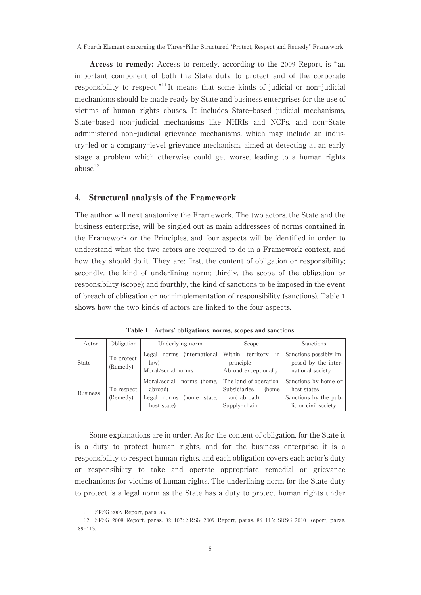A Fourth Element concerning the Three-Pillar Structured "Protect, Respect and Remedy" Framework

Access to remedy: Access to remedy, according to the 2009 Report, is "an important component of both the State duty to protect and of the corporate responsibility to respect. "<sup>11</sup> It means that some kinds of judicial or non-judicial mechanisms should be made ready by State and business enterprises for the use of victims of human rights abuses. It includes State-based judicial mechanisms, State-based non-judicial mechanisms like NHRIs and NCPs, and non-State administered non-judicial grievance mechanisms, which may include an industry-led or a company-level grievance mechanism, aimed at detecting at an early stage a problem which otherwise could get worse, leading to a human rights  $abuse<sup>12</sup>$ .

## 4. Structural analysis of the Framework

The author will next anatomize the Framework. The two actors, the State and the business enterprise, will be singled out as main addressees of norms contained in the Framework or the Principles, and four aspects will be identified in order to understand what the two actors are required to do in a Framework context, and how they should do it. They are: first, the content of obligation or responsibility; secondly, the kind of underlining norm; thirdly, the scope of the obligation or responsibility (scope); and fourthly, the kind of sanctions to be imposed in the event of breach of obligation or non-implementation of responsibility (sanctions). Table 1 shows how the two kinds of actors are linked to the four aspects.

| Actor           | Obligation             | Underlying norm                                                                          | Scope                                                                         | <b>Sanctions</b>                                                                     |
|-----------------|------------------------|------------------------------------------------------------------------------------------|-------------------------------------------------------------------------------|--------------------------------------------------------------------------------------|
| <b>State</b>    | To protect<br>(Remedy) | <i>(international)</i><br>Legal<br>norms<br>law)<br>Moral/social norms                   | Within<br>territory<br>in<br>principle<br>Abroad exceptionally                | Sanctions possibly im-<br>posed by the inter-<br>national society                    |
| <b>Business</b> | To respect<br>(Remedy) | Moral/social<br>norms (home,<br>abroad)<br>(home<br>Legal norms<br>state.<br>host state) | The land of operation<br>Subsidiaries<br>(home<br>and abroad)<br>Supply-chain | Sanctions by home or<br>host states<br>Sanctions by the pub-<br>lic or civil society |

Table 1 Actors' obligations, norms, scopes and sanctions

Some explanations are in order. As for the content of obligation, for the State it is a duty to protect human rights, and for the business enterprise it is a responsibility to respect human rights, and each obligation covers each actor's duty or responsibility to take and operate appropriate remedial or grievance mechanisms for victims of human rights. The underlining norm for the State duty to protect is a legal norm as the State has a duty to protect human rights under

<sup>11</sup> SRSG 2009 Report, para. 86.

<sup>12</sup> SRSG 2008 Report, paras. 82-103; SRSG 2009 Report, paras. 86-115; SRSG 2010 Report, paras. 89-113.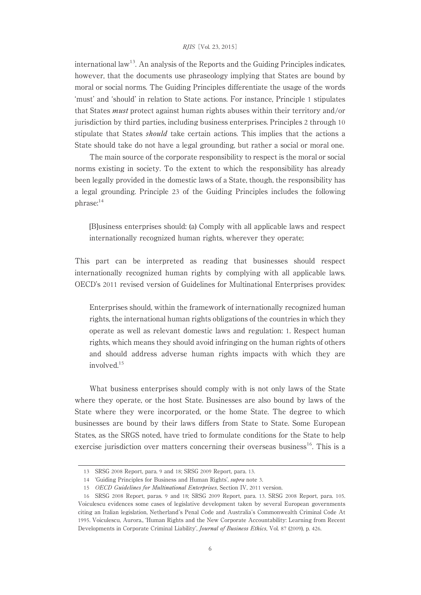#### RJIS[Vol. 23, 2015]

international law<sup>13</sup>. An analysis of the Reports and the Guiding Principles indicates, however, that the documents use phraseology implying that States are bound by moral or social norms. The Guiding Principles differentiate the usage of the words ʻmust' and ʻshould' in relation to State actions. For instance, Principle 1 stipulates that States must protect against human rights abuses within their territory and/or jurisdiction by third parties, including business enterprises. Principles 2 through 10 stipulate that States *should* take certain actions. This implies that the actions a State should take do not have a legal grounding, but rather a social or moral one.

The main source of the corporate responsibility to respect is the moral or social norms existing in society. To the extent to which the responsibility has already been legally provided in the domestic laws of a State, though, the responsibility has a legal grounding. Principle 23 of the Guiding Principles includes the following phrase:<sup>14</sup>

[B]usiness enterprises should:(a) Comply with all applicable laws and respect internationally recognized human rights, wherever they operate;

This part can be interpreted as reading that businesses should respect internationally recognized human rights by complying with all applicable laws. OECD's 2011 revised version of Guidelines for Multinational Enterprises provides:

Enterprises should, within the framework of internationally recognized human rights, the international human rights obligations of the countries in which they operate as well as relevant domestic laws and regulation: 1. Respect human rights, which means they should avoid infringing on the human rights of others and should address adverse human rights impacts with which they are involved.<sup>15</sup>

What business enterprises should comply with is not only laws of the State where they operate, or the host State. Businesses are also bound by laws of the State where they were incorporated, or the home State. The degree to which businesses are bound by their laws differs from State to State. Some European States, as the SRGS noted, have tried to formulate conditions for the State to help exercise jurisdiction over matters concerning their overseas business<sup>16</sup>. This is a

<sup>13</sup> SRSG 2008 Report, para. 9 and 18; SRSG 2009 Report, para. 13.

<sup>14</sup> ʻGuiding Principles for Business and Human Rights', supra note 3.

<sup>15</sup> OECD Guidelines for Multinational Enterprises, Section IV, 2011 version.

<sup>16</sup> SRSG 2008 Report, paras. 9 and 18; SRSG 2009 Report, para. 13. SRSG 2008 Report, para. 105. Voiculescu evidences some cases of legislative development taken by several European governments citing an Italian legislation, Netherland's Penal Code and Australia's Commonwealth Criminal Code At 1995. Voiculescu, Aurora., ʻHuman Rights and the New Corporate Accountability:Learning from Recent Developments in Corporate Criminal Liability', Journal of Business Ethics, Vol. 87 (2009), p. 426.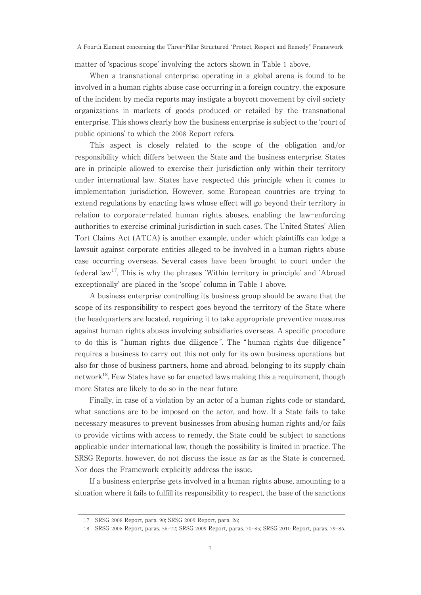matter of ʻspacious scope' involving the actors shown in Table 1 above.

When a transnational enterprise operating in a global arena is found to be involved in a human rights abuse case occurring in a foreign country, the exposure of the incident by media reports may instigate a boycott movement by civil society organizations in markets of goods produced or retailed by the transnational enterprise. This shows clearly how the business enterprise is subject to the ʻcourt of public opinions' to which the 2008 Report refers.

This aspect is closely related to the scope of the obligation and/or responsibility which differs between the State and the business enterprise. States are in principle allowed to exercise their jurisdiction only within their territory under international law. States have respected this principle when it comes to implementation jurisdiction. However, some European countries are trying to extend regulations by enacting laws whose effect will go beyond their territory in relation to corporate-related human rights abuses, enabling the law-enforcing authorities to exercise criminal jurisdiction in such cases. The United States' Alien Tort Claims Act (ATCA) is another example, under which plaintiffs can lodge a lawsuit against corporate entities alleged to be involved in a human rights abuse case occurring overseas. Several cases have been brought to court under the federal law17. This is why the phrases ʻWithin territory in principle' and ʻAbroad exceptionally' are placed in the ʻscope' column in Table 1 above.

A business enterprise controlling its business group should be aware that the scope of its responsibility to respect goes beyond the territory of the State where the headquarters are located, requiring it to take appropriate preventive measures against human rights abuses involving subsidiaries overseas. A specific procedure to do this is " human rights due diligence ". The " human rights due diligence " requires a business to carry out this not only for its own business operations but also for those of business partners, home and abroad, belonging to its supply chain network<sup>18</sup>. Few States have so far enacted laws making this a requirement, though more States are likely to do so in the near future.

Finally, in case of a violation by an actor of a human rights code or standard, what sanctions are to be imposed on the actor, and how. If a State fails to take necessary measures to prevent businesses from abusing human rights and/or fails to provide victims with access to remedy, the State could be subject to sanctions applicable under international law, though the possibility is limited in practice. The SRSG Reports, however, do not discuss the issue as far as the State is concerned. Nor does the Framework explicitly address the issue.

If a business enterprise gets involved in a human rights abuse, amounting to a situation where it fails to fulfill its responsibility to respect, the base of the sanctions

<sup>17</sup> SRSG 2008 Report, para. 90; SRSG 2009 Report, para. 26;

<sup>18</sup> SRSG 2008 Report, paras. 56-72; SRSG 2009 Report, paras. 70-85; SRSG 2010 Report, paras. 79-86.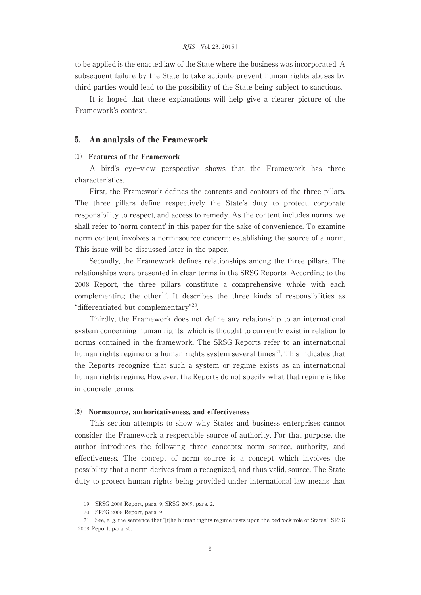to be applied is the enacted law of the State where the business was incorporated. A subsequent failure by the State to take actionto prevent human rights abuses by third parties would lead to the possibility of the State being subject to sanctions.

It is hoped that these explanations will help give a clearer picture of the Framework's context.

## 5. An analysis of the Framework

#### ⑴ Features of the Framework

A bird's eye-view perspective shows that the Framework has three characteristics.

First, the Framework defines the contents and contours of the three pillars. The three pillars define respectively the State's duty to protect, corporate responsibility to respect, and access to remedy. As the content includes norms, we shall refer to ʻnorm content' in this paper for the sake of convenience. To examine norm content involves a norm-source concern; establishing the source of a norm. This issue will be discussed later in the paper.

Secondly, the Framework defines relationships among the three pillars. The relationships were presented in clear terms in the SRSG Reports. According to the 2008 Report, the three pillars constitute a comprehensive whole with each complementing the other<sup>19</sup>. It describes the three kinds of responsibilities as "differentiated but complementary"20.

Thirdly, the Framework does not define any relationship to an international system concerning human rights, which is thought to currently exist in relation to norms contained in the framework. The SRSG Reports refer to an international human rights regime or a human rights system several times<sup>21</sup>. This indicates that the Reports recognize that such a system or regime exists as an international human rights regime. However, the Reports do not specify what that regime is like in concrete terms.

#### ⑵ Normsource, authoritativeness, and effectiveness

This section attempts to show why States and business enterprises cannot consider the Framework a respectable source of authority. For that purpose, the author introduces the following three concepts: norm source, authority, and effectiveness. The concept of norm source is a concept which involves the possibility that a norm derives from a recognized, and thus valid, source. The State duty to protect human rights being provided under international law means that

<sup>19</sup> SRSG 2008 Report, para. 9; SRSG 2009, para. 2.

<sup>20</sup> SRSG 2008 Report, para. 9.

<sup>21</sup> See, e. g. the sentence that "[t]he human rights regime rests upon the bedrock role of States." SRSG 2008 Report, para 50.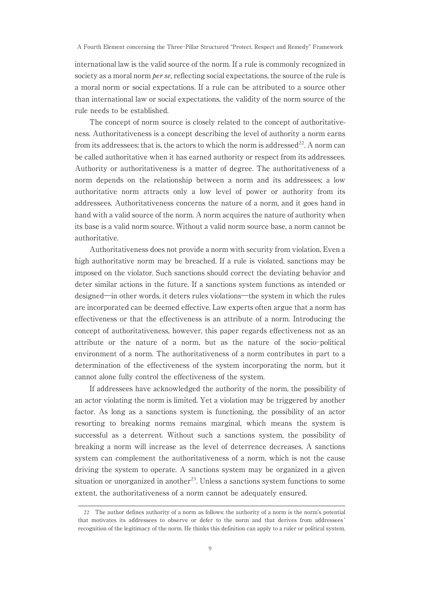international law is the valid source of the norm. If a rule is commonly recognized in society as a moral norm *per se*, reflecting social expectations, the source of the rule is a moral norm or social expectations. If a rule can be attributed to a source other than international law or social expectations, the validity of the norm source of the rule needs to be established.

The concept of norm source is closely related to the concept of authoritativeness. Authoritativeness is a concept describing the level of authority a norm earns from its addressees; that is, the actors to which the norm is addressed<sup>22</sup>. A norm can be called authoritative when it has earned authority or respect from its addressees. Authority or authoritativeness is a matter of degree. The authoritativeness of a norm depends on the relationship between a norm and its addressees; a low authoritative norm attracts only a low level of power or authority from its addressees. Authoritativeness concerns the nature of a norm, and it goes hand in hand with a valid source of the norm. A norm acquires the nature of authority when its base is a valid norm source. Without a valid norm source base, a norm cannot be authoritative.

Authoritativeness does not provide a norm with security from violation. Even a high authoritative norm may be breached. If a rule is violated, sanctions may be imposed on the violator. Such sanctions should correct the deviating behavior and deter similar actions in the future. If a sanctions system functions as intended or designed―in other words, it deters rules violations―the system in which the rules are incorporated can be deemed effective. Law experts often argue that a norm has effectiveness or that the effectiveness is an attribute of a norm. Introducing the concept of authoritativeness, however, this paper regards effectiveness not as an attribute or the nature of a norm, but as the nature of the socio-political environment of a norm. The authoritativeness of a norm contributes in part to a determination of the effectiveness of the system incorporating the norm, but it cannot alone fully control the effectiveness of the system.

If addressees have acknowledged the authority of the norm, the possibility of an actor violating the norm is limited. Yet a violation may be triggered by another factor. As long as a sanctions system is functioning, the possibility of an actor resorting to breaking norms remains marginal, which means the system is successful as a deterrent. Without such a sanctions system, the possibility of breaking a norm will increase as the level of deterrence decreases. A sanctions system can complement the authoritativeness of a norm, which is not the cause driving the system to operate. A sanctions system may be organized in a given situation or unorganized in another<sup>23</sup>. Unless a sanctions system functions to some extent, the authoritativeness of a norm cannot be adequately ensured.

<sup>22</sup> The author defines authority of a norm as follows: the authority of a norm is the norm's potential that motivates its addressees to observe or defer to the norm and that derives from addressees ' recognition of the legitimacy of the norm. He thinks this definition can apply to a ruler or political system.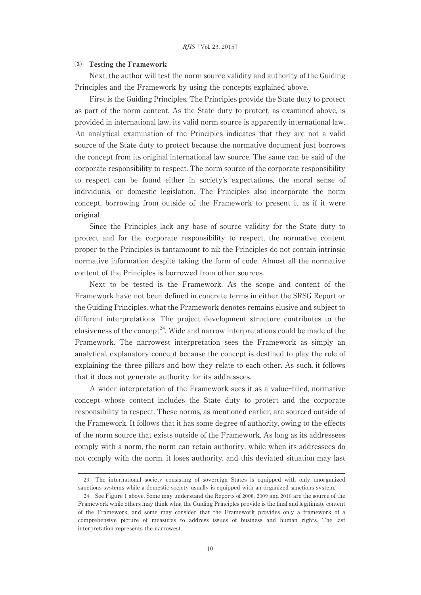#### ⑶ Testing the Framework

Next, the author will test the norm source validity and authority of the Guiding Principles and the Framework by using the concepts explained above.

First is the Guiding Principles. The Principles provide the State duty to protect as part of the norm content. As the State duty to protect, as examined above, is provided in international law, its valid norm source is apparently international law. An analytical examination of the Principles indicates that they are not a valid source of the State duty to protect because the normative document just borrows the concept from its original international law source. The same can be said of the corporate responsibility to respect. The norm source of the corporate responsibility to respect can be found either in society's expectations, the moral sense of individuals, or domestic legislation. The Principles also incorporate the norm concept, borrowing from outside of the Framework to present it as if it were original.

Since the Principles lack any base of source validity for the State duty to protect and for the corporate responsibility to respect, the normative content proper to the Principles is tantamount to nil: the Principles do not contain intrinsic normative information despite taking the form of code. Almost all the normative content of the Principles is borrowed from other sources.

Next to be tested is the Framework. As the scope and content of the Framework have not been defined in concrete terms in either the SRSG Report or the Guiding Principles, what the Framework denotes remains elusive and subject to different interpretations. The project development structure contributes to the elusiveness of the concept<sup>24</sup>. Wide and narrow interpretations could be made of the Framework. The narrowest interpretation sees the Framework as simply an analytical, explanatory concept because the concept is destined to play the role of explaining the three pillars and how they relate to each other. As such, it follows that it does not generate authority for its addressees.

A wider interpretation of the Framework sees it as a value-filled, normative concept whose content includes the State duty to protect and the corporate responsibility to respect. These norms, as mentioned earlier, are sourced outside of the Framework. It follows that it has some degree of authority, owing to the effects of the norm source that exists outside of the Framework. As long as its addressees comply with a norm, the norm can retain authority, while when its addressees do not comply with the norm, it loses authority, and this deviated situation may last

<sup>23</sup> The international society consisting of sovereign States is equipped with only unorganized sanctions systems while a domestic society usually is equipped with an organized sanctions system.

<sup>24</sup> See Figure 1 above. Some may understand the Reports of 2008, 2009 and 2010 are the source of the Framework while others may think what the Guiding Principles provide is the final and legitimate content of the Framework, and some may consider that the Framework provides only a framework of a comprehensive picture of measures to address issues of business and human rights. The last interpretation represents the narrowest.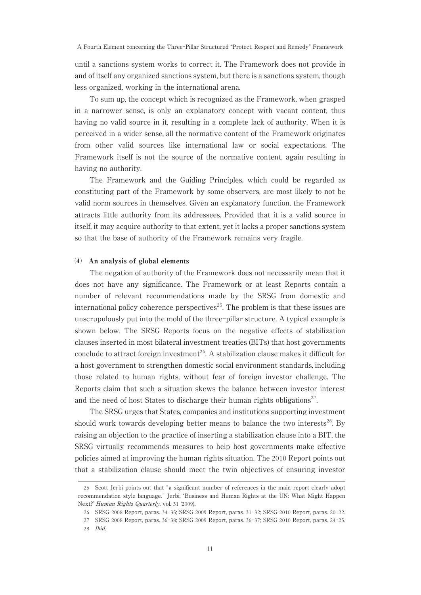until a sanctions system works to correct it. The Framework does not provide in and of itself any organized sanctions system, but there is a sanctions system, though less organized, working in the international arena.

To sum up, the concept which is recognized as the Framework, when grasped in a narrower sense, is only an explanatory concept with vacant content, thus having no valid source in it, resulting in a complete lack of authority. When it is perceived in a wider sense, all the normative content of the Framework originates from other valid sources like international law or social expectations. The Framework itself is not the source of the normative content, again resulting in having no authority.

The Framework and the Guiding Principles, which could be regarded as constituting part of the Framework by some observers, are most likely to not be valid norm sources in themselves. Given an explanatory function, the Framework attracts little authority from its addressees. Provided that it is a valid source in itself, it may acquire authority to that extent, yet it lacks a proper sanctions system so that the base of authority of the Framework remains very fragile.

#### ⑷ An analysis of global elements

The negation of authority of the Framework does not necessarily mean that it does not have any significance. The Framework or at least Reports contain a number of relevant recommendations made by the SRSG from domestic and international policy coherence perspectives<sup>25</sup>. The problem is that these issues are unscrupulously put into the mold of the three-pillar structure. A typical example is shown below. The SRSG Reports focus on the negative effects of stabilization clauses inserted in most bilateral investment treaties (BITs) that host governments conclude to attract foreign investment<sup>26</sup>. A stabilization clause makes it difficult for a host government to strengthen domestic social environment standards, including those related to human rights, without fear of foreign investor challenge. The Reports claim that such a situation skews the balance between investor interest and the need of host States to discharge their human rights obligations<sup>27</sup>.

The SRSG urges that States, companies and institutions supporting investment should work towards developing better means to balance the two interests<sup>28</sup>. By raising an objection to the practice of inserting a stabilization clause into a BIT, the SRSG virtually recommends measures to help host governments make effective policies aimed at improving the human rights situation. The 2010 Report points out that a stabilization clause should meet the twin objectives of ensuring investor

<sup>25</sup> Scott Jerbi points out that "a significant number of references in the main report clearly adopt recommendation style language." Jerbi, 'Business and Human Rights at the UN: What Might Happen Next?' Human Rights Quarterly, vol. 31 ʻ2009).

<sup>26</sup> SRSG 2008 Report, paras. 34-35; SRSG 2009 Report, paras. 31-32; SRSG 2010 Report, paras. 20-22.

<sup>27</sup> SRSG 2008 Report, paras. 36-38; SRSG 2009 Report, paras. 36-37; SRSG 2010 Report, paras. 24-25. 28 Ibid.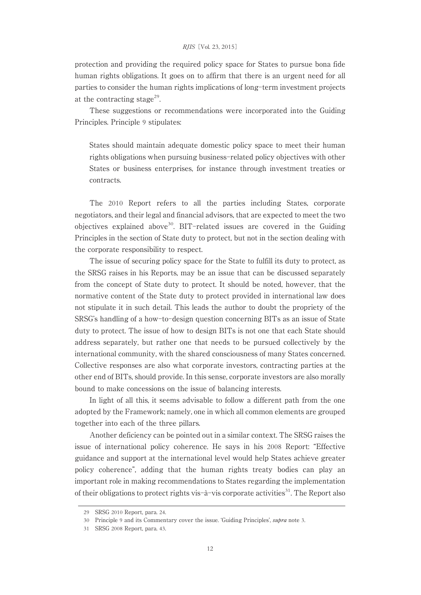#### RJIS[Vol. 23, 2015]

protection and providing the required policy space for States to pursue bona fide human rights obligations. It goes on to affirm that there is an urgent need for all parties to consider the human rights implications of long-term investment projects at the contracting stage<sup>29</sup>.

These suggestions or recommendations were incorporated into the Guiding Principles. Principle 9 stipulates:

States should maintain adequate domestic policy space to meet their human rights obligations when pursuing business-related policy objectives with other States or business enterprises, for instance through investment treaties or contracts.

The 2010 Report refers to all the parties including States, corporate negotiators, and their legal and financial advisors, that are expected to meet the two objectives explained above<sup>30</sup>. BIT-related issues are covered in the Guiding Principles in the section of State duty to protect, but not in the section dealing with the corporate responsibility to respect.

The issue of securing policy space for the State to fulfill its duty to protect, as the SRSG raises in his Reports, may be an issue that can be discussed separately from the concept of State duty to protect. It should be noted, however, that the normative content of the State duty to protect provided in international law does not stipulate it in such detail. This leads the author to doubt the propriety of the SRSG's handling of a how-to-design question concerning BITs as an issue of State duty to protect. The issue of how to design BITs is not one that each State should address separately, but rather one that needs to be pursued collectively by the international community, with the shared consciousness of many States concerned. Collective responses are also what corporate investors, contracting parties at the other end of BITs, should provide. In this sense, corporate investors are also morally bound to make concessions on the issue of balancing interests.

In light of all this, it seems advisable to follow a different path from the one adopted by the Framework; namely, one in which all common elements are grouped together into each of the three pillars.

Another deficiency can be pointed out in a similar context. The SRSG raises the issue of international policy coherence. He says in his 2008 Report:"Effective guidance and support at the international level would help States achieve greater policy coherence", adding that the human rights treaty bodies can play an important role in making recommendations to States regarding the implementation of their obligations to protect rights vis-à-vis corporate activities<sup>31</sup>. The Report also

<sup>29</sup> SRSG 2010 Report, para. 24.

<sup>30</sup> Principle 9 and its Commentary cover the issue. ʻGuiding Principles', supra note 3.

<sup>31</sup> SRSG 2008 Report, para. 43.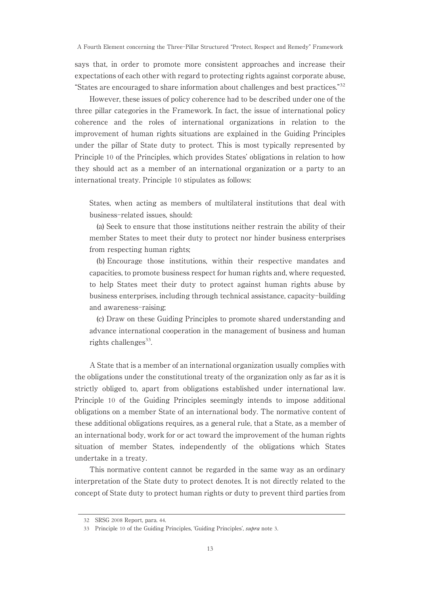says that, in order to promote more consistent approaches and increase their expectations of each other with regard to protecting rights against corporate abuse, "States are encouraged to share information about challenges and best practices."<sup>32</sup>

However, these issues of policy coherence had to be described under one of the three pillar categories in the Framework. In fact, the issue of international policy coherence and the roles of international organizations in relation to the improvement of human rights situations are explained in the Guiding Principles under the pillar of State duty to protect. This is most typically represented by Principle 10 of the Principles, which provides States' obligations in relation to how they should act as a member of an international organization or a party to an international treaty. Principle 10 stipulates as follows:

States, when acting as members of multilateral institutions that deal with business-related issues, should:

(a) Seek to ensure that those institutions neither restrain the ability of their member States to meet their duty to protect nor hinder business enterprises from respecting human rights;

(b) Encourage those institutions, within their respective mandates and capacities, to promote business respect for human rights and, where requested, to help States meet their duty to protect against human rights abuse by business enterprises, including through technical assistance, capacity-building and awareness-raising;

(c) Draw on these Guiding Principles to promote shared understanding and advance international cooperation in the management of business and human rights challenges<sup>33</sup>.

A State that is a member of an international organization usually complies with the obligations under the constitutional treaty of the organization only as far as it is strictly obliged to, apart from obligations established under international law. Principle 10 of the Guiding Principles seemingly intends to impose additional obligations on a member State of an international body. The normative content of these additional obligations requires, as a general rule, that a State, as a member of an international body, work for or act toward the improvement of the human rights situation of member States, independently of the obligations which States undertake in a treaty.

This normative content cannot be regarded in the same way as an ordinary interpretation of the State duty to protect denotes. It is not directly related to the concept of State duty to protect human rights or duty to prevent third parties from

<sup>32</sup> SRSG 2008 Report, para. 44.

<sup>33</sup> Principle 10 of the Guiding Principles, ʻGuiding Principles', supra note 3.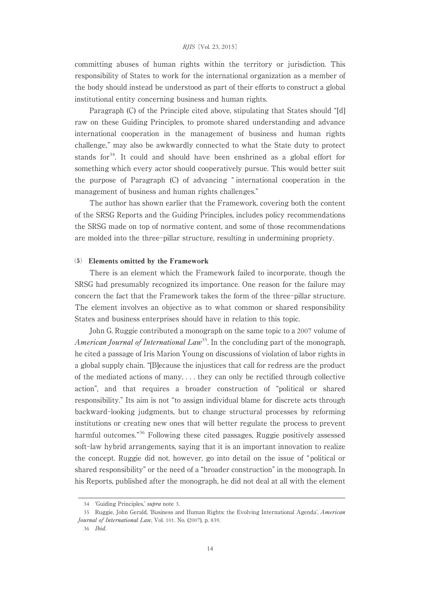committing abuses of human rights within the territory or jurisdiction. This responsibility of States to work for the international organization as a member of the body should instead be understood as part of their efforts to construct a global institutional entity concerning business and human rights.

Paragraph (C) of the Principle cited above, stipulating that States should "[d] raw on these Guiding Principles, to promote shared understanding and advance international cooperation in the management of business and human rights challenge," may also be awkwardly connected to what the State duty to protect stands for $34$ . It could and should have been enshrined as a global effort for something which every actor should cooperatively pursue. This would better suit the purpose of Paragraph (C) of advancing " international cooperation in the management of business and human rights challenges."

The author has shown earlier that the Framework, covering both the content of the SRSG Reports and the Guiding Principles, includes policy recommendations the SRSG made on top of normative content, and some of those recommendations are molded into the three-pillar structure, resulting in undermining propriety.

#### ⑸ Elements omitted by the Framework

There is an element which the Framework failed to incorporate, though the SRSG had presumably recognized its importance. One reason for the failure may concern the fact that the Framework takes the form of the three-pillar structure. The element involves an objective as to what common or shared responsibility States and business enterprises should have in relation to this topic.

John G. Ruggie contributed a monograph on the same topic to a 2007 volume of American Journal of International Law<sup>35</sup>. In the concluding part of the monograph, he cited a passage of Iris Marion Young on discussions of violation of labor rights in a global supply chain. "[B]ecause the injustices that call for redress are the product of the mediated actions of many,... they can only be rectified through collective action", and that requires a broader construction of "political or shared responsibility." Its aim is not "to assign individual blame for discrete acts through backward-looking judgments, but to change structural processes by reforming institutions or creating new ones that will better regulate the process to prevent harmful outcomes."<sup>36</sup> Following these cited passages, Ruggie positively assessed soft-law hybrid arrangements, saying that it is an important innovation to realize the concept. Ruggie did not, however, go into detail on the issue of "political or shared responsibility" or the need of a "broader construction" in the monograph. In his Reports, published after the monograph, he did not deal at all with the element

<sup>34</sup> ʻGuiding Principles,' supra note 3.

<sup>35</sup> Ruggie, John Gerald, 'Business and Human Rights: the Evolving International Agenda', American Journal of International Law, Vol. 101. No. (2007), p. 839.

<sup>36</sup> Ibid.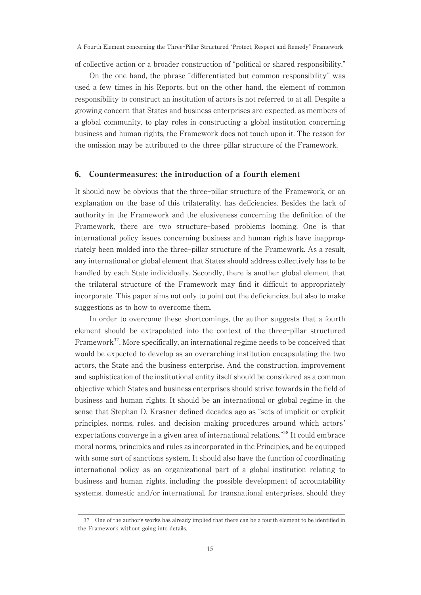of collective action or a broader construction of "political or shared responsibility."

On the one hand, the phrase "differentiated but common responsibility" was used a few times in his Reports, but on the other hand, the element of common responsibility to construct an institution of actors is not referred to at all. Despite a growing concern that States and business enterprises are expected, as members of a global community, to play roles in constructing a global institution concerning business and human rights, the Framework does not touch upon it. The reason for the omission may be attributed to the three-pillar structure of the Framework.

## 6. Countermeasures: the introduction of a fourth element

It should now be obvious that the three-pillar structure of the Framework, or an explanation on the base of this trilaterality, has deficiencies. Besides the lack of authority in the Framework and the elusiveness concerning the definition of the Framework, there are two structure-based problems looming. One is that international policy issues concerning business and human rights have inappropriately been molded into the three-pillar structure of the Framework. As a result, any international or global element that States should address collectively has to be handled by each State individually. Secondly, there is another global element that the trilateral structure of the Framework may find it difficult to appropriately incorporate. This paper aims not only to point out the deficiencies, but also to make suggestions as to how to overcome them.

In order to overcome these shortcomings, the author suggests that a fourth element should be extrapolated into the context of the three-pillar structured Framework<sup>37</sup>. More specifically, an international regime needs to be conceived that would be expected to develop as an overarching institution encapsulating the two actors, the State and the business enterprise. And the construction, improvement and sophistication of the institutional entity itself should be considered as a common objective which States and business enterprises should strive towards in the field of business and human rights. It should be an international or global regime in the sense that Stephan D. Krasner defined decades ago as "sets of implicit or explicit principles, norms, rules, and decision-making procedures around which actors ' expectations converge in a given area of international relations."<sup>38</sup> It could embrace moral norms, principles and rules as incorporated in the Principles, and be equipped with some sort of sanctions system. It should also have the function of coordinating international policy as an organizational part of a global institution relating to business and human rights, including the possible development of accountability systems, domestic and/or international, for transnational enterprises, should they

<sup>37</sup> One of the author's works has already implied that there can be a fourth element to be identified in the Framework without going into details.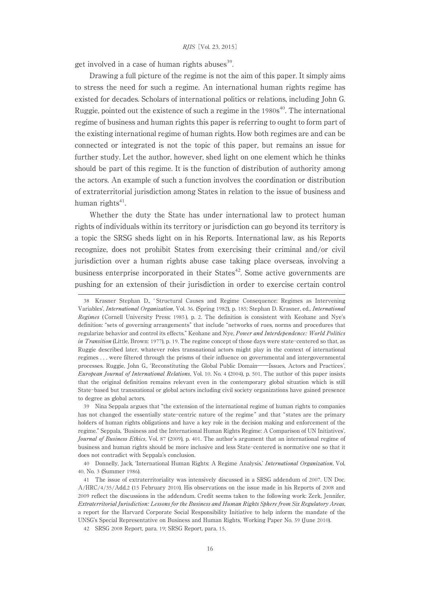get involved in a case of human rights abuses $^{39}$ .

Drawing a full picture of the regime is not the aim of this paper. It simply aims to stress the need for such a regime. An international human rights regime has existed for decades. Scholars of international politics or relations, including John G. Ruggie, pointed out the existence of such a regime in the 1980s <sup>40</sup>. The international regime of business and human rights this paper is referring to ought to form part of the existing international regime of human rights. How both regimes are and can be connected or integrated is not the topic of this paper, but remains an issue for further study. Let the author, however, shed light on one element which he thinks should be part of this regime. It is the function of distribution of authority among the actors. An example of such a function involves the coordination or distribution of extraterritorial jurisdiction among States in relation to the issue of business and human rights $41$ .

Whether the duty the State has under international law to protect human rights of individuals within its territory or jurisdiction can go beyond its territory is a topic the SRSG sheds light on in his Reports. International law, as his Reports recognize, does not prohibit States from exercising their criminal and/or civil jurisdiction over a human rights abuse case taking place overseas, involving a business enterprise incorporated in their  $States^{42}$ . Some active governments are pushing for an extension of their jurisdiction in order to exercise certain control

<sup>38</sup> Krasner Stephan D., 'Structural Causes and Regime Consequence: Regimes as Intervening Variables', International Organization, Vol. 36. (Spring 1982), p. 185; Stephan D. Krasner, ed., International Regimes ( Cornell University Press: 1985 ), p. 2. The definition is consistent with Keohane and Nye's definition:"sets of governing arrangements" that include "networks of rues, norms and procedures that regularize behavior and control its effects." Keohane and Nye, Power and Interdependence: World Politics in Transition (Little, Brown: 1977), p. 19. The regime concept of those days were state-centered so that, as Ruggie described later, whatever roles transnational actors might play in the context of international regimes . . . were filtered through the prisms of their influence on governmental and intergovernmental processes. Ruggie, John G., ʻReconstituting the Global Public Domain――Issues, Actors and Practices', European Journal of International Relations, Vol. 10. No. 4 (2004), p. 501. The author of this paper insists that the original definition remains relevant even in the contemporary global situation which is still State-based but transnational or global actors including civil society organizations have gained presence to degree as global actors.

<sup>39</sup> Nina Seppala argues that "the extension of the international regime of human rights to companies has not changed the essentially state-centric nature of the regime " and that "states are the primary holders of human rights obligations and have a key role in the decision making and enforcement of the regime." Seppala, 'Business and the International Human Rights Regime: A Comparison of UN Initiatives', Journal of Business Ethics, Vol. 87 (2009), p. 401. The author's argument that an international regime of business and human rights should be more inclusive and less State-centered is normative one so that it does not contradict with Seppala's conclusion.

<sup>40</sup> Donnelly, Jack, ʻInternational Human Rights:A Regime Analysis,' International Organization, Vol. 40. No. 3 (Summer 1986).

<sup>41</sup> The issue of extraterritoriality was intensively discussed in a SRSG addendum of 2007. UN Doc. A/HRC/4/35/Add.2 (15 February 2010). His observations on the issue made in his Reports of 2008 and 2009 reflect the discussions in the addendum. Credit seems taken to the following work:Zerk, Jennifer, Extraterritorial Jurisdiction: Lessons for the Business and Human Rights Sphere from Six Regulatory Areas, a report for the Harvard Corporate Social Responsibility Initiative to help inform the mandate of the UNSG's Special Representative on Business and Human Rights, Working Paper No. 59 (June 2010).

<sup>42</sup> SRSG 2008 Report, para. 19; SRSG Report, para. 15.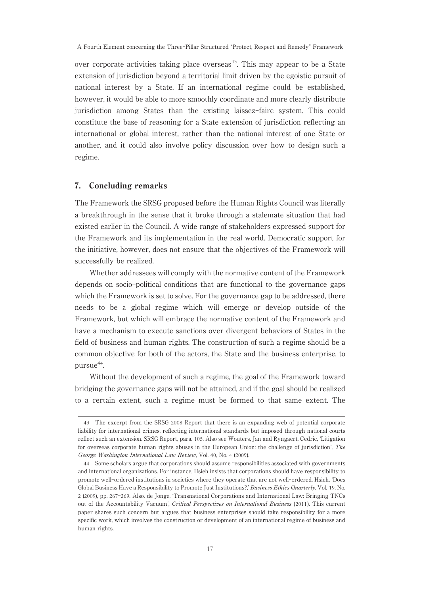over corporate activities taking place overseas<sup>43</sup>. This may appear to be a State extension of jurisdiction beyond a territorial limit driven by the egoistic pursuit of national interest by a State. If an international regime could be established, however, it would be able to more smoothly coordinate and more clearly distribute jurisdiction among States than the existing laissez-faire system. This could constitute the base of reasoning for a State extension of jurisdiction reflecting an international or global interest, rather than the national interest of one State or another, and it could also involve policy discussion over how to design such a regime.

## 7. Concluding remarks

The Framework the SRSG proposed before the Human Rights Council was literally a breakthrough in the sense that it broke through a stalemate situation that had existed earlier in the Council. A wide range of stakeholders expressed support for the Framework and its implementation in the real world. Democratic support for the initiative, however, does not ensure that the objectives of the Framework will successfully be realized.

Whether addressees will comply with the normative content of the Framework depends on socio-political conditions that are functional to the governance gaps which the Framework is set to solve. For the governance gap to be addressed, there needs to be a global regime which will emerge or develop outside of the Framework, but which will embrace the normative content of the Framework and have a mechanism to execute sanctions over divergent behaviors of States in the field of business and human rights. The construction of such a regime should be a common objective for both of the actors, the State and the business enterprise, to  $pursue^{44}$ .

Without the development of such a regime, the goal of the Framework toward bridging the governance gaps will not be attained, and if the goal should be realized to a certain extent, such a regime must be formed to that same extent. The

<sup>43</sup> The excerpt from the SRSG 2008 Report that there is an expanding web of potential corporate liability for international crimes, reflecting international standards but imposed through national courts reflect such an extension. SRSG Report, para. 105. Also see Wouters, Jan and Ryngaert, Cedric, ʻLitigation for overseas corporate human rights abuses in the European Union: the challenge of jurisdiction', The George Washington International Law Review, Vol. 40, No. 4 (2009).

<sup>44</sup> Some scholars argue that corporations should assume responsibilities associated with governments and international organizations. For instance, Hsieh insists that corporations should have responsibility to promote well-ordered institutions in societies where they operate that are not well-ordered. Hsieh, ʻDoes Global Business Have a Responsibility to Promote Just Institutions?,' Business Ethics Quarterly, Vol. 19. No. 2 (2009), pp. 267-269. Also, de Jonge, 'Transnational Corporations and International Law: Bringing TNCs out of the Accountability Vacuum', Critical Perspectives on International Business (2011). This current paper shares such concern but argues that business enterprises should take responsibility for a more specific work, which involves the construction or development of an international regime of business and human rights.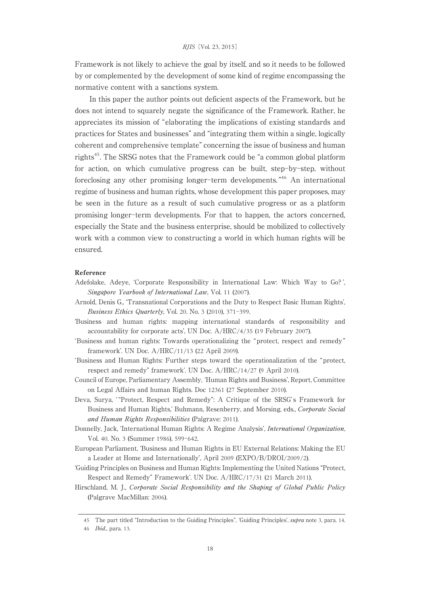Framework is not likely to achieve the goal by itself, and so it needs to be followed by or complemented by the development of some kind of regime encompassing the normative content with a sanctions system.

In this paper the author points out deficient aspects of the Framework, but he does not intend to squarely negate the significance of the Framework. Rather, he appreciates its mission of "elaborating the implications of existing standards and practices for States and businesses" and "integrating them within a single, logically coherent and comprehensive template" concerning the issue of business and human rights45. The SRSG notes that the Framework could be "a common global platform for action, on which cumulative progress can be built, step-by-step, without foreclosing any other promising longer-term developments. "<sup>46</sup> An international regime of business and human rights, whose development this paper proposes, may be seen in the future as a result of such cumulative progress or as a platform promising longer-term developments. For that to happen, the actors concerned, especially the State and the business enterprise, should be mobilized to collectively work with a common view to constructing a world in which human rights will be ensured.

#### Reference

- Adefolake, Adeye, 'Corporate Responsibility in International Law: Which Way to Go?', Singapore Yearbook of International Law, Vol. 11 (2007).
- Arnold, Denis G., ʻTransnational Corporations and the Duty to Respect Basic Human Rights', Business Ethics Quarterly, Vol. 20. No. 3 (2010), 371-399.
- ʻBusiness and human rights:mapping international standards of responsibility and accountability for corporate acts', UN Doc. A/HRC/4/35 (19 February 2007).
- ʻBusiness and human rights:Towards operationalizing the "protect, respect and remedy " framework'. UN Doc. A/HRC/11/13 (22 April 2009).
- ʻBusiness and Human Rights:Further steps toward the operationalization of the "protect, respect and remedy" framework'. UN Doc. A/HRC/14/27 (9 April 2010).
- Council of Europe, Parliamentary Assembly, ʻHuman Rights and Business', Report, Committee on Legal Affairs and human Rights. Doc 12361 (27 September 2010).
- Deva, Surya, "Protect, Respect and Remedy": A Critique of the SRSG's Framework for Business and Human Rights,' Buhmann, Resenberry, and Morsing, eds., Corporate Social and Human Rights Responsibilities (Palgrave: 2011).
- Donnelly, Jack, 'International Human Rights: A Regime Analysis', *International Organization*, Vol. 40. No. 3 (Summer 1986), 599-642.
- European Parliament, 'Business and Human Rights in EU External Relations: Making the EU a Leader at Home and Internationally', April 2009 (EXPO/B/DROI/2009/2).
- ʻGuiding Principles on Business and Human Rights:Implementing the United Nations "Protect, Respect and Remedy" Framework'. UN Doc. A/HRC/17/31 (21 March 2011).
- Hirschland, M. J., Corporate Social Responsibility and the Shaping of Global Public Policy (Palgrave MacMillan: 2006).

<sup>45</sup> The part titled "Introduction to the Guiding Principles", 'Guiding Principles', *supra* note 3, para. 14.

<sup>46</sup> Ibid., para. 13.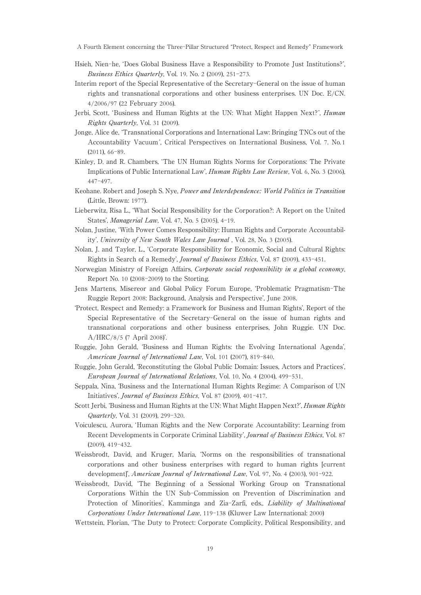A Fourth Element concerning the Three-Pillar Structured "Protect, Respect and Remedy" Framework

- Hsieh, Nien-he, ʻDoes Global Business Have a Responsibility to Promote Just Institutions?', Business Ethics Quarterly, Vol. 19. No. 2 (2009), 251-273.
- Interim report of the Special Representative of the Secretary-General on the issue of human rights and transnational corporations and other business enterprises. UN Doc. E/CN. 4/2006/97 (22 February 2006).
- Jerbi, Scott, 'Business and Human Rights at the UN: What Might Happen Next?', *Human* Rights Quarterly, Vol. 31 (2009).
- Jonge, Alice de, ʻTransnational Corporations and International Law:Bringing TNCs out of the Accountability Vacuum ', Critical Perspectives on International Business, Vol. 7. No. 1 (2011), 66-89.
- Kinley, D. and R. Chambers, 'The UN Human Rights Norms for Corporations: The Private Implications of Public International Law', Human Rights Law Review, Vol. 6, No. 3 (2006), 447-497.
- Keohane. Robert and Joseph S. Nye, Power and Interdependence: World Politics in Transition (Little, Brown: 1977).
- Lieberwitz, Risa L., 'What Social Responsibility for the Corporation?: A Report on the United States', Managerial Law, Vol. 47, No. 5 (2005), 4-19.
- Nolan, Justine, ʻWith Power Comes Responsibility:Human Rights and Corporate Accountability', University of New South Wales Law Journal , Vol. 28, No. 3 (2005).
- Nolan, J. and Taylor, L., ʻCorporate Responsibility for Economic, Social and Cultural Rights: Rights in Search of a Remedy', Journal of Business Ethics, Vol. 87 (2009), 433-451.
- Norwegian Ministry of Foreign Affairs, Corporate social responsibility in a global economy, Report No. 10 (2008-2009) to the Storting.
- Jens Martens, Misereor and Global Policy Forum Europe, ʻProblematic Pragmatism-The Ruggie Report 2008: Background, Analysis and Perspective', June 2008.
- ʻProtect, Respect and Remedy:a Framework for Business and Human Rights', Report of the Special Representative of the Secretary-General on the issue of human rights and transnational corporations and other business enterprises, John Ruggie. UN Doc. A/HRC/8/5 (7 April 2008)'.
- Ruggie, John Gerald, 'Business and Human Rights: the Evolving International Agenda', American Journal of International Law, Vol. 101 (2007), 819-840.
- Ruggie, John Gerald, 'Reconstituting the Global Public Domain: Issues, Actors and Practices', European Journal of International Relations, Vol. 10, No. 4 (2004), 499-531.
- Seppala, Nina, 'Business and the International Human Rights Regime: A Comparison of UN Initiatives', Journal of Business Ethics, Vol. 87 (2009), 401-417.
- Scott Jerbi, 'Business and Human Rights at the UN: What Might Happen Next?', Human Rights Quarterly, Vol. 31 (2009), 299-320.
- Voiculescu, Aurora, ʻHuman Rights and the New Corporate Accountability:Learning from Recent Developments in Corporate Criminal Liability', Journal of Business Ethics, Vol. 87 (2009), 419-432.
- Weissbrodt, David, and Kruger, Maria, ʻNorms on the responsibilities of transnational corporations and other business enterprises with regard to human rights [current development]', American Journal of International Law, Vol. 97, No. 4 (2003), 901-922.
- Weissbrodt, David, ʻThe Beginning of a Sessional Working Group on Transnational Corporations Within the UN Sub-Commission on Prevention of Discrimination and Protection of Minorities', Kamminga and Zia-Zarfi, eds., *Liability of Multinational* Corporations Under International Law, 119-138 (Kluwer Law International: 2000)
- Wettstein, Florian, 'The Duty to Protect: Corporate Complicity, Political Responsibility, and